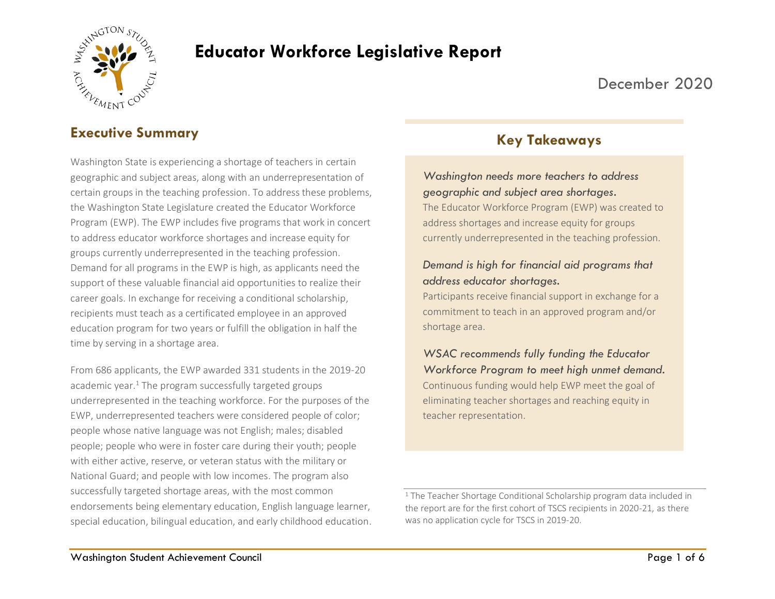

# **Educator Workforce Legislative Report**

## December 2020

## **Executive Summary**

Washington State is experiencing a shortage of teachers in certain geographic and subject areas, along with an underrepresentation of certain groups in the teaching profession. To address these problems, the Washington State Legislature created the Educator Workforce Program (EWP). The EWP includes five programs that work in concert to address educator workforce shortages and increase equity for groups currently underrepresented in the teaching profession. Demand for all programs in the EWP is high, as applicants need the support of these valuable financial aid opportunities to realize their career goals. In exchange for receiving a conditional scholarship, recipients must teach as a certificated employee in an approved education program for two years or fulfill the obligation in half the time by serving in a shortage area.

From 686 applicants, the EWP awarded 331 students in the 2019-20 academic year.<sup>1</sup> The program successfully targeted groups underrepresented in the teaching workforce. For the purposes of the EWP, underrepresented teachers were considered people of color; people whose native language was not English; males; disabled people; people who were in foster care during their youth; people with either active, reserve, or veteran status with the military or National Guard; and people with low incomes. The program also successfully targeted shortage areas, with the most common endorsements being elementary education, English language learner, special education, bilingual education, and early childhood education.

## **Key Takeaways**

#### *Washington needs more teachers to address geographic and subject area shortages.*

The Educator Workforce Program (EWP) was created to address shortages and increase equity for groups currently underrepresented in the teaching profession.

#### *Demand is high for financial aid programs that address educator shortages.*

Participants receive financial support in exchange for a commitment to teach in an approved program and/or shortage area.

*WSAC recommends fully funding the Educator Workforce Program to meet high unmet demand.* Continuous funding would help EWP meet the goal of eliminating teacher shortages and reaching equity in teacher representation.

<sup>&</sup>lt;sup>1</sup> The Teacher Shortage Conditional Scholarship program data included in the report are for the first cohort of TSCS recipients in 2020-21, as there was no application cycle for TSCS in 2019-20.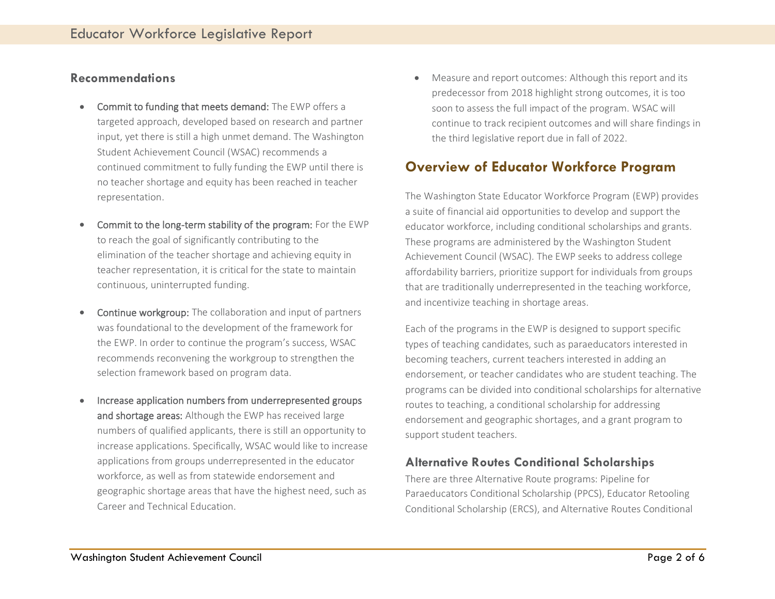#### **Recommendations**

- Commit to funding that meets demand: The EWP offers a targeted approach, developed based on research and partner input, yet there is still a high unmet demand. The Washington Student Achievement Council (WSAC) recommends a continued commitment to fully funding the EWP until there is no teacher shortage and equity has been reached in teacher representation.
- Commit to the long-term stability of the program: For the EWP to reach the goal of significantly contributing to the elimination of the teacher shortage and achieving equity in teacher representation, it is critical for the state to maintain continuous, uninterrupted funding.
- Continue workgroup: The collaboration and input of partners was foundational to the development of the framework for the EWP. In order to continue the program's success, WSAC recommends reconvening the workgroup to strengthen the selection framework based on program data.
- Increase application numbers from underrepresented groups and shortage areas: Although the EWP has received large numbers of qualified applicants, there is still an opportunity to increase applications. Specifically, WSAC would like to increase applications from groups underrepresented in the educator workforce, as well as from statewide endorsement and geographic shortage areas that have the highest need, such as Career and Technical Education.

• Measure and report outcomes: Although this report and its predecessor from 2018 highlight strong outcomes, it is too soon to assess the full impact of the program. WSAC will continue to track recipient outcomes and will share findings in the third legislative report due in fall of 2022.

## **Overview of Educator Workforce Program**

The Washington State Educator Workforce Program (EWP) provides a suite of financial aid opportunities to develop and support the educator workforce, including conditional scholarships and grants. These programs are administered by the Washington Student Achievement Council (WSAC). The EWP seeks to address college affordability barriers, prioritize support for individuals from groups that are traditionally underrepresented in the teaching workforce, and incentivize teaching in shortage areas.

Each of the programs in the EWP is designed to support specific types of teaching candidates, such as paraeducators interested in becoming teachers, current teachers interested in adding an endorsement, or teacher candidates who are student teaching. The programs can be divided into conditional scholarships for alternative routes to teaching, a conditional scholarship for addressing endorsement and geographic shortages, and a grant program to support student teachers.

#### **Alternative Routes Conditional Scholarships**

There are three Alternative Route programs: Pipeline for Paraeducators Conditional Scholarship (PPCS), Educator Retooling Conditional Scholarship (ERCS), and Alternative Routes Conditional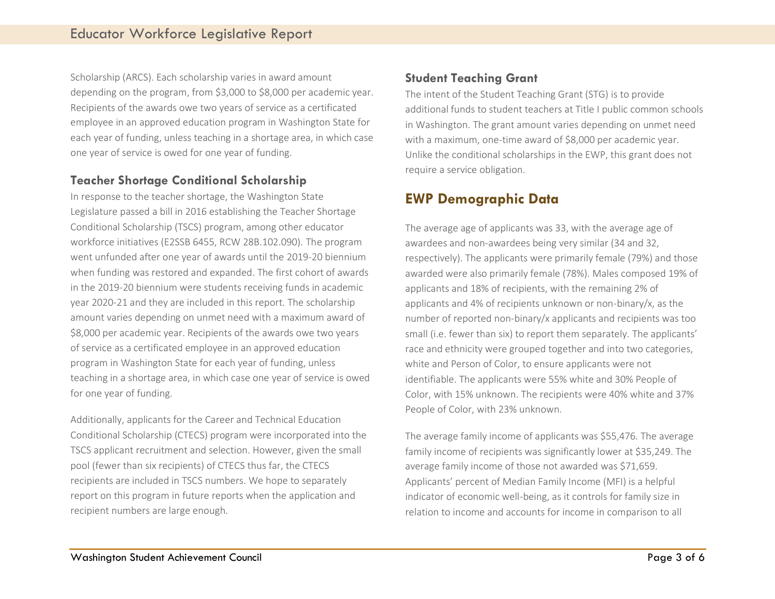Scholarship (ARCS). Each scholarship varies in award amount depending on the program, from \$3,000 to \$8,000 per academic year. Recipients of the awards owe two years of service as a certificated employee in an approved education program in Washington State for each year of funding, unless teaching in a shortage area, in which case one year of service is owed for one year of funding.

#### **Teacher Shortage Conditional Scholarship**

In response to the teacher shortage, the Washington State Legislature passed a bill in 2016 establishing the Teacher Shortage Conditional Scholarship (TSCS) program, among other educator workforce initiatives (E2SSB 6455, RCW 28B.102.090). The program went unfunded after one year of awards until the 2019-20 biennium when funding was restored and expanded. The first cohort of awards in the 2019-20 biennium were students receiving funds in academic year 2020-21 and they are included in this report. The scholarship amount varies depending on unmet need with a maximum award of \$8,000 per academic year. Recipients of the awards owe two years of service as a certificated employee in an approved education program in Washington State for each year of funding, unless teaching in a shortage area, in which case one year of service is owed for one year of funding.

Additionally, applicants for the Career and Technical Education Conditional Scholarship (CTECS) program were incorporated into the TSCS applicant recruitment and selection. However, given the small pool (fewer than six recipients) of CTECS thus far, the CTECS recipients are included in TSCS numbers. We hope to separately report on this program in future reports when the application and recipient numbers are large enough.

#### **Student Teaching Grant**

The intent of the Student Teaching Grant (STG) is to provide additional funds to student teachers at Title I public common schools in Washington. The grant amount varies depending on unmet need with a maximum, one-time award of \$8,000 per academic year. Unlike the conditional scholarships in the EWP, this grant does not require a service obligation.

## **EWP Demographic Data**

The average age of applicants was 33, with the average age of awardees and non-awardees being very similar (34 and 32, respectively). The applicants were primarily female (79%) and those awarded were also primarily female (78%). Males composed 19% of applicants and 18% of recipients, with the remaining 2% of applicants and 4% of recipients unknown or non-binary/x, as the number of reported non-binary/x applicants and recipients was too small (i.e. fewer than six) to report them separately. The applicants' race and ethnicity were grouped together and into two categories, white and Person of Color, to ensure applicants were not identifiable. The applicants were 55% white and 30% People of Color, with 15% unknown. The recipients were 40% white and 37% People of Color, with 23% unknown.

The average family income of applicants was \$55,476. The average family income of recipients was significantly lower at \$35,249. The average family income of those not awarded was \$71,659. Applicants' percent of Median Family Income (MFI) is a helpful indicator of economic well-being, as it controls for family size in relation to income and accounts for income in comparison to all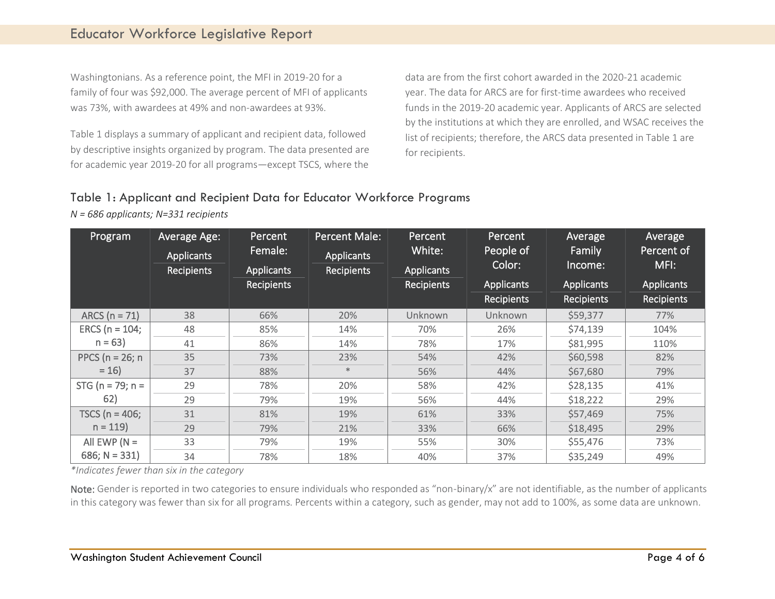Washingtonians. As a reference point, the MFI in 2019-20 for a family of four was \$92,000. The average percent of MFI of applicants was 73%, with awardees at 49% and non-awardees at 93%.

Table 1 displays a summary of applicant and recipient data, followed by descriptive insights organized by program. The data presented are for academic year 2019-20 for all programs—except TSCS, where the

data are from the first cohort awarded in the 2020-21 academic year. The data for ARCS are for first-time awardees who received funds in the 2019-20 academic year. Applicants of ARCS are selected by the institutions at which they are enrolled, and WSAC receives the list of recipients; therefore, the ARCS data presented in Table 1 are for recipients.

#### Table 1: Applicant and Recipient Data for Educator Workforce Programs

*N = 686 applicants; N=331 recipients*

| Program                | Average Age:<br><b>Applicants</b><br><b>Recipients</b> | Percent<br>Female:<br>Applicants<br><b>Recipients</b> | <b>Percent Male:</b><br><b>Applicants</b><br><b>Recipients</b> | Percent<br>White:<br><b>Applicants</b><br><b>Recipients</b> | Percent<br>People of<br>Color:<br>Applicants | Average<br>Family<br>Income:<br><b>Applicants</b> | Average<br>Percent of<br>MFI:<br><b>Applicants</b> |
|------------------------|--------------------------------------------------------|-------------------------------------------------------|----------------------------------------------------------------|-------------------------------------------------------------|----------------------------------------------|---------------------------------------------------|----------------------------------------------------|
|                        |                                                        |                                                       |                                                                |                                                             | <b>Recipients</b>                            | <b>Recipients</b>                                 | <b>Recipients</b>                                  |
| ARCS ( $n = 71$ )      | 38                                                     | 66%                                                   | 20%                                                            | Unknown                                                     | Unknown                                      | \$59,377                                          | 77%                                                |
| ERCS ( $n = 104$ ;     | 48                                                     | 85%                                                   | 14%                                                            | 70%                                                         | 26%                                          | \$74,139                                          | 104%                                               |
| $n = 63$               | 41                                                     | 86%                                                   | 14%                                                            | 78%                                                         | 17%                                          | \$81,995                                          | 110%                                               |
| PPCS ( $n = 26$ ; n    | 35                                                     | 73%                                                   | 23%                                                            | 54%                                                         | 42%                                          | \$60,598                                          | 82%                                                |
| $= 16$                 | 37                                                     | 88%                                                   | $\ast$                                                         | 56%                                                         | 44%                                          | \$67,680                                          | 79%                                                |
| STG ( $n = 79$ ; $n =$ | 29                                                     | 78%                                                   | 20%                                                            | 58%                                                         | 42%                                          | \$28,135                                          | 41%                                                |
| 62)                    | 29                                                     | 79%                                                   | 19%                                                            | 56%                                                         | 44%                                          | \$18,222                                          | 29%                                                |
| TSCS ( $n = 406$ ;     | 31                                                     | 81%                                                   | 19%                                                            | 61%                                                         | 33%                                          | \$57,469                                          | 75%                                                |
| $n = 119$              | 29                                                     | 79%                                                   | 21%                                                            | 33%                                                         | 66%                                          | \$18,495                                          | 29%                                                |
| All EWP ( $N =$        | 33                                                     | 79%                                                   | 19%                                                            | 55%                                                         | 30%                                          | \$55,476                                          | 73%                                                |
| 686; $N = 331$ )       | 34                                                     | 78%                                                   | 18%                                                            | 40%                                                         | 37%                                          | \$35,249                                          | 49%                                                |

*\*Indicates fewer than six in the category*

Note: Gender is reported in two categories to ensure individuals who responded as "non-binary/x" are not identifiable, as the number of applicants in this category was fewer than six for all programs. Percents within a category, such as gender, may not add to 100%, as some data are unknown.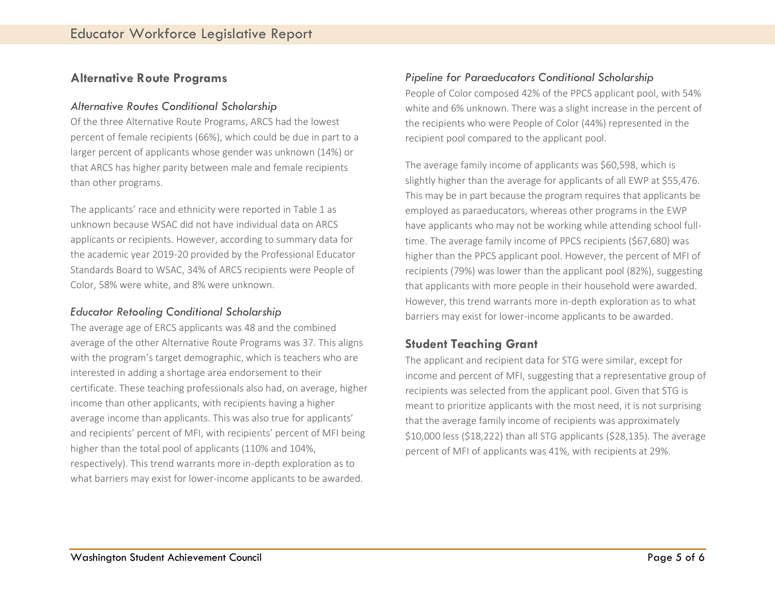#### **Alternative Route Programs**

#### *Alternative Routes Conditional Scholarship*

Of the three Alternative Route Programs, ARCS had the lowest percent of female recipients (66%), which could be due in part to a larger percent of applicants whose gender was unknown (14%) or that ARCS has higher parity between male and female recipients than other programs.

The applicants' race and ethnicity were reported in Table 1 as unknown because WSAC did not have individual data on ARCS applicants or recipients. However, according to summary data for the academic year 2019-20 provided by the Professional Educator Standards Board to WSAC, 34% of ARCS recipients were People of Color, 58% were white, and 8% were unknown.

#### *Educator Retooling Conditional Scholarship*

The average age of ERCS applicants was 48 and the combined average of the other Alternative Route Programs was 37. This aligns with the program's target demographic, which is teachers who are interested in adding a shortage area endorsement to their certificate. These teaching professionals also had, on average, higher income than other applicants, with recipients having a higher average income than applicants. This was also true for applicants' and recipients' percent of MFI, with recipients' percent of MFI being higher than the total pool of applicants (110% and 104%, respectively). This trend warrants more in-depth exploration as to what barriers may exist for lower-income applicants to be awarded.

#### *Pipeline for Paraeducators Conditional Scholarship*

People of Color composed 42% of the PPCS applicant pool, with 54% white and 6% unknown. There was a slight increase in the percent of the recipients who were People of Color (44%) represented in the recipient pool compared to the applicant pool.

The average family income of applicants was \$60,598, which is slightly higher than the average for applicants of all EWP at \$55,476. This may be in part because the program requires that applicants be employed as paraeducators, whereas other programs in the EWP have applicants who may not be working while attending school fulltime. The average family income of PPCS recipients (\$67,680) was higher than the PPCS applicant pool. However, the percent of MFI of recipients (79%) was lower than the applicant pool (82%), suggesting that applicants with more people in their household were awarded. However, this trend warrants more in-depth exploration as to what barriers may exist for lower-income applicants to be awarded.

#### **Student Teaching Grant**

The applicant and recipient data for STG were similar, except for income and percent of MFI, suggesting that a representative group of recipients was selected from the applicant pool. Given that STG is meant to prioritize applicants with the most need, it is not surprising that the average family income of recipients was approximately \$10,000 less (\$18,222) than all STG applicants (\$28,135). The average percent of MFI of applicants was 41%, with recipients at 29%.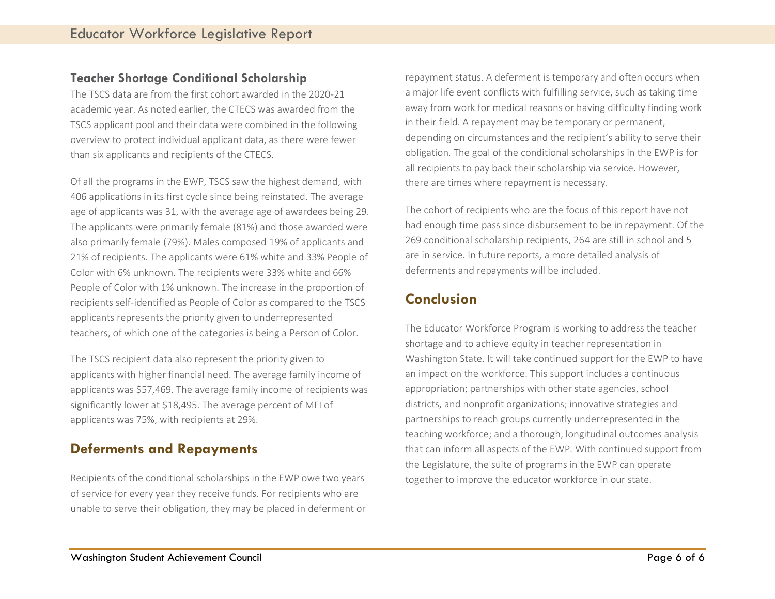#### **Teacher Shortage Conditional Scholarship**

The TSCS data are from the first cohort awarded in the 2020-21 academic year. As noted earlier, the CTECS was awarded from the TSCS applicant pool and their data were combined in the following overview to protect individual applicant data, as there were fewer than six applicants and recipients of the CTECS.

Of all the programs in the EWP, TSCS saw the highest demand, with 406 applications in its first cycle since being reinstated. The average age of applicants was 31, with the average age of awardees being 29. The applicants were primarily female (81%) and those awarded were also primarily female (79%). Males composed 19% of applicants and 21% of recipients. The applicants were 61% white and 33% People of Color with 6% unknown. The recipients were 33% white and 66% People of Color with 1% unknown. The increase in the proportion of recipients self-identified as People of Color as compared to the TSCS applicants represents the priority given to underrepresented teachers, of which one of the categories is being a Person of Color.

The TSCS recipient data also represent the priority given to applicants with higher financial need. The average family income of applicants was \$57,469. The average family income of recipients was significantly lower at \$18,495. The average percent of MFI of applicants was 75%, with recipients at 29%.

## **Deferments and Repayments**

Recipients of the conditional scholarships in the EWP owe two years of service for every year they receive funds. For recipients who are unable to serve their obligation, they may be placed in deferment or

repayment status. A deferment is temporary and often occurs when a major life event conflicts with fulfilling service, such as taking time away from work for medical reasons or having difficulty finding work in their field. A repayment may be temporary or permanent, depending on circumstances and the recipient's ability to serve their obligation. The goal of the conditional scholarships in the EWP is for all recipients to pay back their scholarship via service. However, there are times where repayment is necessary.

The cohort of recipients who are the focus of this report have not had enough time pass since disbursement to be in repayment. Of the 269 conditional scholarship recipients, 264 are still in school and 5 are in service. In future reports, a more detailed analysis of deferments and repayments will be included.

## **Conclusion**

The Educator Workforce Program is working to address the teacher shortage and to achieve equity in teacher representation in Washington State. It will take continued support for the EWP to have an impact on the workforce. This support includes a continuous appropriation; partnerships with other state agencies, school districts, and nonprofit organizations; innovative strategies and partnerships to reach groups currently underrepresented in the teaching workforce; and a thorough, longitudinal outcomes analysis that can inform all aspects of the EWP. With continued support from the Legislature, the suite of programs in the EWP can operate together to improve the educator workforce in our state.